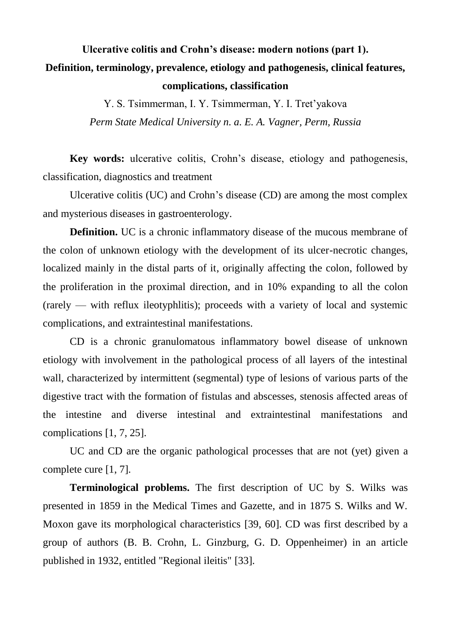## **Ulcerative colitis and Crohn's disease: modern notions (part 1). Definition, terminology, prevalence, etiology and pathogenesis, clinical features, complications, classification**

Y. S. Tsimmerman, I. Y. Tsimmerman, Y. I. Tret'yakova *Perm State Medical University n. a. E. A. Vagner, Perm, Russia*

**Key words:** ulcerative colitis, Crohn's disease, etiology and pathogenesis, classification, diagnostics and treatment

Ulcerative colitis (UC) and Crohn's disease (CD) are among the most complex and mysterious diseases in gastroenterology.

**Definition.** UC is a chronic inflammatory disease of the mucous membrane of the colon of unknown etiology with the development of its ulcer-necrotic changes, localized mainly in the distal parts of it, originally affecting the colon, followed by the proliferation in the proximal direction, and in 10% expanding to all the colon (rarely — with reflux ileotyphlitis); proceeds with a variety of local and systemic complications, and extraintestinal manifestations.

CD is a chronic granulomatous inflammatory bowel disease of unknown etiology with involvement in the pathological process of all layers of the intestinal wall, characterized by intermittent (segmental) type of lesions of various parts of the digestive tract with the formation of fistulas and abscesses, stenosis affected areas of the intestine and diverse intestinal and extraintestinal manifestations and complications [1, 7, 25].

UC and CD are the organic pathological processes that are not (yet) given a complete cure [1, 7].

**Terminological problems.** The first description of UC by S. Wilks was presented in 1859 in the Medical Times and Gazette, and in 1875 S. Wilks and W. Moxon gave its morphological characteristics [39, 60]. CD was first described by a group of authors (B. B. Crohn, L. Ginzburg, G. D. Oppenheimer) in an article published in 1932, entitled "Regional ileitis" [33].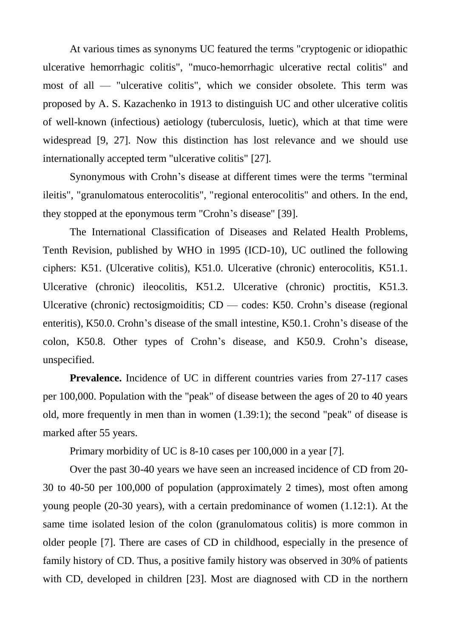At various times as synonyms UC featured the terms "cryptogenic or idiopathic ulcerative hemorrhagic colitis", "muco-hemorrhagic ulcerative rectal colitis" and most of all — "ulcerative colitis", which we consider obsolete. This term was proposed by A. S. Kazachenko in 1913 to distinguish UC and other ulcerative colitis of well-known (infectious) aetiology (tuberculosis, luetic), which at that time were widespread [9, 27]. Now this distinction has lost relevance and we should use internationally accepted term "ulcerative colitis" [27].

Synonymous with Crohn's disease at different times were the terms "terminal ileitis", "granulomatous enterocolitis", "regional enterocolitis" and others. In the end, they stopped at the eponymous term "Crohn's disease" [39].

The International Classification of Diseases and Related Health Problems, Tenth Revision, published by WHO in 1995 (ICD-10), UC outlined the following ciphers: K51. (Ulcerative colitis), K51.0. Ulcerative (chronic) enterocolitis, K51.1. Ulcerative (chronic) ileocolitis, K51.2. Ulcerative (chronic) proctitis, K51.3. Ulcerative (chronic) rectosigmoiditis; CD — codes: K50. Crohn's disease (regional enteritis), K50.0. Crohn's disease of the small intestine, K50.1. Crohn's disease of the colon, K50.8. Other types of Crohn's disease, and K50.9. Crohn's disease, unspecified.

**Prevalence.** Incidence of UC in different countries varies from 27-117 cases per 100,000. Population with the "peak" of disease between the ages of 20 to 40 years old, more frequently in men than in women (1.39:1); the second "peak" of disease is marked after 55 years.

Primary morbidity of UC is 8-10 cases per 100,000 in a year [7].

Over the past 30-40 years we have seen an increased incidence of CD from 20- 30 to 40-50 per 100,000 of population (approximately 2 times), most often among young people (20-30 years), with a certain predominance of women (1.12:1). At the same time isolated lesion of the colon (granulomatous colitis) is more common in older people [7]. There are cases of CD in childhood, especially in the presence of family history of CD. Thus, a positive family history was observed in 30% of patients with CD, developed in children [23]. Most are diagnosed with CD in the northern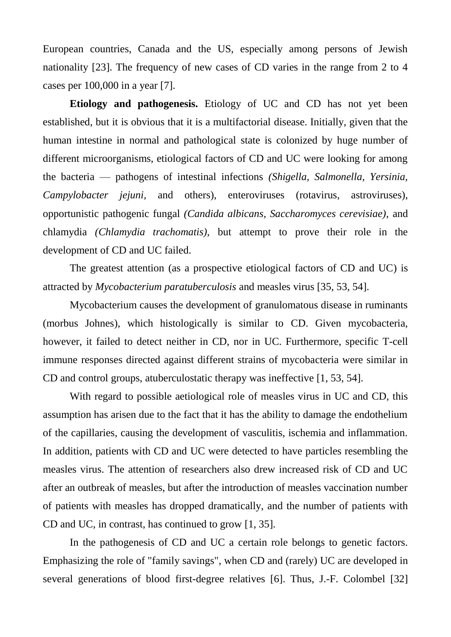European countries, Canada and the US, especially among persons of Jewish nationality [23]. The frequency of new cases of CD varies in the range from 2 to 4 cases per 100,000 in a year [7].

**Etiology and pathogenesis.** Etiology of UC and CD has not yet been established, but it is obvious that it is a multifactorial disease. Initially, given that the human intestine in normal and pathological state is colonized by huge number of different microorganisms, etiological factors of CD and UC were looking for among the bacteria — pathogens of intestinal infections *(Shigella, Salmonella, Yersinia, Campylobacter jejuni,* and others), enteroviruses (rotavirus, astroviruses), opportunistic pathogenic fungal *(Candida albicans, Saccharomyces cerevisiae),* and chlamydia *(Chlamydia trachomatis),* but attempt to prove their role in the development of CD and UC failed.

The greatest attention (as a prospective etiological factors of CD and UC) is attracted by *Mycobacterium paratuberculosis* and measles virus [35, 53, 54].

Mycobacterium causes the development of granulomatous disease in ruminants (morbus Johnes), which histologically is similar to CD. Given mycobacteria, however, it failed to detect neither in CD, nor in UC. Furthermore, specific T-cell immune responses directed against different strains of mycobacteria were similar in CD and control groups, atuberculostatic therapy was ineffective [1, 53, 54].

With regard to possible aetiological role of measles virus in UC and CD, this assumption has arisen due to the fact that it has the ability to damage the endothelium of the capillaries, causing the development of vasculitis, ischemia and inflammation. In addition, patients with CD and UC were detected to have particles resembling the measles virus. The attention of researchers also drew increased risk of CD and UC after an outbreak of measles, but after the introduction of measles vaccination number of patients with measles has dropped dramatically, and the number of patients with CD and UC, in contrast, has continued to grow [1, 35].

In the pathogenesis of CD and UC a certain role belongs to genetic factors. Emphasizing the role of "family savings", when CD and (rarely) UC are developed in several generations of blood first-degree relatives [6]. Thus, J.-F. Colombel [32]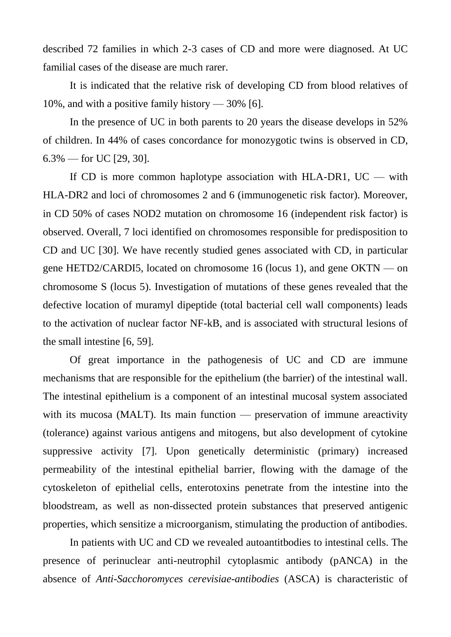described 72 families in which 2-3 cases of CD and more were diagnosed. At UC familial cases of the disease are much rarer.

It is indicated that the relative risk of developing CD from blood relatives of 10%, and with a positive family history — 30% [6].

In the presence of UC in both parents to 20 years the disease develops in 52% of children. In 44% of cases concordance for monozygotic twins is observed in CD,  $6.3\%$  — for UC [29, 30].

If CD is more common haplotype association with HLA-DR1,  $UC -$  with HLA-DR2 and loci of chromosomes 2 and 6 (immunogenetic risk factor). Moreover, in CD 50% of cases NOD2 mutation on chromosome 16 (independent risk factor) is observed. Overall, 7 loci identified on chromosomes responsible for predisposition to CD and UC [30]. We have recently studied genes associated with CD, in particular gene HETD2/CARDI5, located on chromosome 16 (locus 1), and gene OKTN — on chromosome S (locus 5). Investigation of mutations of these genes revealed that the defective location of muramyl dipeptide (total bacterial cell wall components) leads to the activation of nuclear factor NF-kB, and is associated with structural lesions of the small intestine [6, 59].

Of great importance in the pathogenesis of UC and CD are immune mechanisms that are responsible for the epithelium (the barrier) of the intestinal wall. The intestinal epithelium is a component of an intestinal mucosal system associated with its mucosa (MALT). Its main function — preservation of immune areactivity (tolerance) against various antigens and mitogens, but also development of cytokine suppressive activity [7]. Upon genetically deterministic (primary) increased permeability of the intestinal epithelial barrier, flowing with the damage of the cytoskeleton of epithelial cells, enterotoxins penetrate from the intestine into the bloodstream, as well as non-dissected protein substances that preserved antigenic properties, which sensitize a microorganism, stimulating the production of antibodies.

In patients with UC and CD we revealed autoantitbodies to intestinal cells. The presence of perinuclear anti-neutrophil cytoplasmic antibody (pANCA) in the absence of *Anti-Sacchoromyces cerevisiae-antibodies* (ASCA) is characteristic of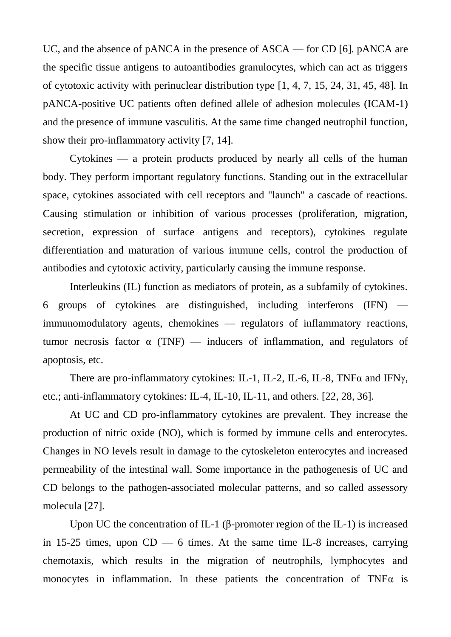UC, and the absence of pANCA in the presence of ASCA — for CD [6]. pANCA are the specific tissue antigens to autoantibodies granulocytes, which can act as triggers of cytotoxic activity with perinuclear distribution type [1, 4, 7, 15, 24, 31, 45, 48]. In pANCA-positive UC patients often defined allele of adhesion molecules (ICAM-1) and the presence of immune vasculitis. At the same time changed neutrophil function, show their pro-inflammatory activity [7, 14].

Cytokines — a protein products produced by nearly all cells of the human body. They perform important regulatory functions. Standing out in the extracellular space, cytokines associated with cell receptors and "launch" a cascade of reactions. Causing stimulation or inhibition of various processes (proliferation, migration, secretion, expression of surface antigens and receptors), cytokines regulate differentiation and maturation of various immune cells, control the production of antibodies and cytotoxic activity, particularly causing the immune response.

Interleukins (IL) function as mediators of protein, as a subfamily of cytokines. 6 groups of cytokines are distinguished, including interferons (IFN) immunomodulatory agents, chemokines — regulators of inflammatory reactions, tumor necrosis factor  $\alpha$  (TNF) — inducers of inflammation, and regulators of apoptosis, etc.

There are pro-inflammatory cytokines: IL-1, IL-2, IL-6, IL-8, TNF $\alpha$  and IFN $\gamma$ , etc.; anti-inflammatory cytokines: IL-4, IL-10, IL-11, and others. [22, 28, 36].

At UC and CD pro-inflammatory cytokines are prevalent. They increase the production of nitric oxide (NO), which is formed by immune cells and enterocytes. Changes in NO levels result in damage to the cytoskeleton enterocytes and increased permeability of the intestinal wall. Some importance in the pathogenesis of UC and CD belongs to the pathogen-associated molecular patterns, and so called assessory molecula [27].

Upon UC the concentration of IL-1 (β-promoter region of the IL-1) is increased in 15-25 times, upon  $CD$  — 6 times. At the same time IL-8 increases, carrying chemotaxis, which results in the migration of neutrophils, lymphocytes and monocytes in inflammation. In these patients the concentration of  $TNF\alpha$  is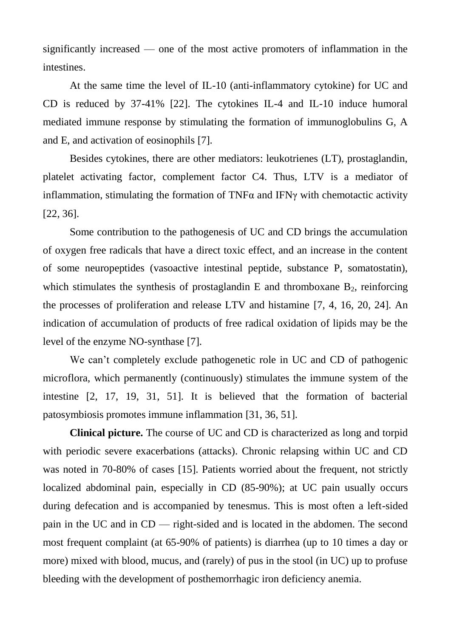significantly increased — one of the most active promoters of inflammation in the intestines.

At the same time the level of IL-10 (anti-inflammatory cytokine) for UC and CD is reduced by 37-41% [22]. The cytokines IL-4 and IL-10 induce humoral mediated immune response by stimulating the formation of immunoglobulins G, A and E, and activation of eosinophils [7].

Besides cytokines, there are other mediators: leukotrienes (LT), prostaglandin, platelet activating factor, complement factor C4. Thus, LTV is a mediator of inflammation, stimulating the formation of TNF $\alpha$  and IFN $\gamma$  with chemotactic activity [22, 36].

Some contribution to the pathogenesis of UC and CD brings the accumulation of oxygen free radicals that have a direct toxic effect, and an increase in the content of some neuropeptides (vasoactive intestinal peptide, substance P, somatostatin), which stimulates the synthesis of prostaglandin E and thromboxane  $B_2$ , reinforcing the processes of proliferation and release LTV and histamine [7, 4, 16, 20, 24]. An indication of accumulation of products of free radical oxidation of lipids may be the level of the enzyme NO-synthase [7].

We can't completely exclude pathogenetic role in UC and CD of pathogenic microflora, which permanently (continuously) stimulates the immune system of the intestine [2, 17, 19, 31, 51]. It is believed that the formation of bacterial patosymbiosis promotes immune inflammation [31, 36, 51].

**Clinical picture.** The course of UC and CD is characterized as long and torpid with periodic severe exacerbations (attacks). Chronic relapsing within UC and CD was noted in 70-80% of cases [15]. Patients worried about the frequent, not strictly localized abdominal pain, especially in CD (85-90%); at UC pain usually occurs during defecation and is accompanied by tenesmus. This is most often a left-sided pain in the UC and in CD — right-sided and is located in the abdomen. The second most frequent complaint (at 65-90% of patients) is diarrhea (up to 10 times a day or more) mixed with blood, mucus, and (rarely) of pus in the stool (in UC) up to profuse bleeding with the development of posthemorrhagic iron deficiency anemia.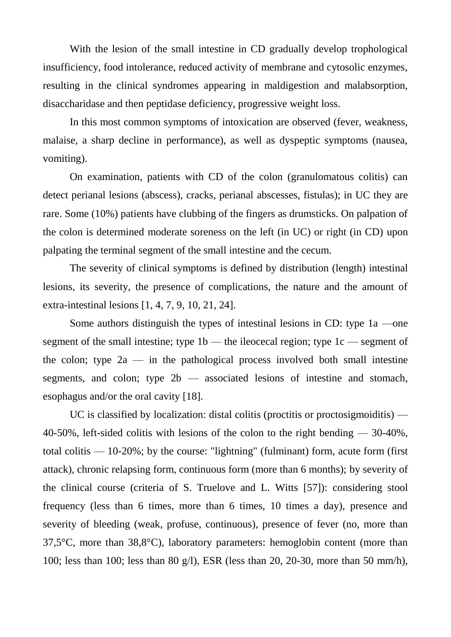With the lesion of the small intestine in CD gradually develop trophological insufficiency, food intolerance, reduced activity of membrane and cytosolic enzymes, resulting in the clinical syndromes appearing in maldigestion and malabsorption, disaccharidase and then peptidase deficiency, progressive weight loss.

In this most common symptoms of intoxication are observed (fever, weakness, malaise, a sharp decline in performance), as well as dyspeptic symptoms (nausea, vomiting).

On examination, patients with CD of the colon (granulomatous colitis) can detect perianal lesions (abscess), cracks, perianal abscesses, fistulas); in UC they are rare. Some (10%) patients have clubbing of the fingers as drumsticks. On palpation of the colon is determined moderate soreness on the left (in UC) or right (in CD) upon palpating the terminal segment of the small intestine and the cecum.

The severity of clinical symptoms is defined by distribution (length) intestinal lesions, its severity, the presence of complications, the nature and the amount of extra-intestinal lesions [1, 4, 7, 9, 10, 21, 24].

Some authors distinguish the types of intestinal lesions in CD: type 1a —one segment of the small intestine; type 1b — the ileocecal region; type 1c — segment of the colon; type  $2a$  — in the pathological process involved both small intestine segments, and colon; type  $2b$  — associated lesions of intestine and stomach, esophagus and/or the oral cavity [18].

UC is classified by localization: distal colitis (proctitis or proctosigmoiditis) — 40-50%, left-sided colitis with lesions of the colon to the right bending — 30-40%, total colitis — 10-20%; by the course: "lightning" (fulminant) form, acute form (first attack), chronic relapsing form, continuous form (more than 6 months); by severity of the clinical course (criteria of S. Truelove and L. Witts [57]): considering stool frequency (less than 6 times, more than 6 times, 10 times a day), presence and severity of bleeding (weak, profuse, continuous), presence of fever (no, more than 37,5°C, more than 38,8°C), laboratory parameters: hemoglobin content (more than 100; less than 100; less than 80 g/l), ESR (less than 20, 20-30, more than 50 mm/h),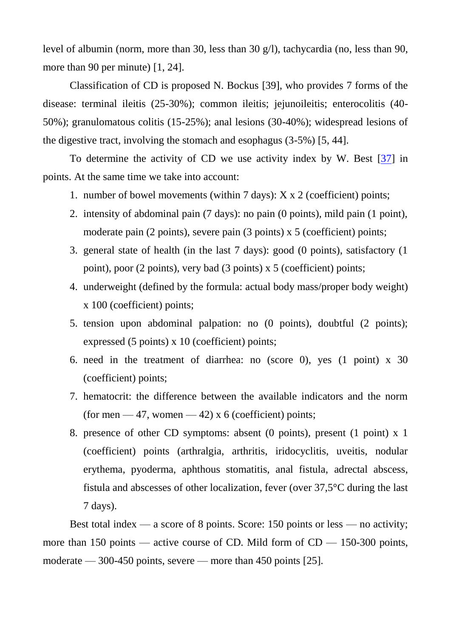level of albumin (norm, more than 30, less than 30 g/l), tachycardia (no, less than 90, more than 90 per minute) [1, 24].

Classification of CD is proposed N. Bockus [39], who provides 7 forms of the disease: terminal ileitis (25-30%); common ileitis; jejunoileitis; enterocolitis (40- 50%); granulomatous colitis (15-25%); anal lesions (30-40%); widespread lesions of the digestive tract, involving the stomach and esophagus (3-5%) [5, 44].

To determine the activity of CD we use activity index by W. Best [\[37\]](https://translate.googleusercontent.com/translate_f#_Ref423458956) in points. At the same time we take into account:

- 1. number of bowel movements (within  $7 \text{ days}$ ):  $X \times 2$  (coefficient) points;
- 2. intensity of abdominal pain (7 days): no pain (0 points), mild pain (1 point), moderate pain (2 points), severe pain (3 points) x 5 (coefficient) points;
- 3. general state of health (in the last 7 days): good (0 points), satisfactory (1 point), poor (2 points), very bad (3 points) x 5 (coefficient) points;
- 4. underweight (defined by the formula: actual body mass/proper body weight) x 100 (coefficient) points;
- 5. tension upon abdominal palpation: no (0 points), doubtful (2 points); expressed (5 points) x 10 (coefficient) points;
- 6. need in the treatment of diarrhea: no (score 0), yes (1 point) x 30 (coefficient) points;
- 7. hematocrit: the difference between the available indicators and the norm (for men  $-47$ , women  $-42$ ) x 6 (coefficient) points;
- 8. presence of other CD symptoms: absent (0 points), present (1 point) x 1 (coefficient) points (arthralgia, arthritis, iridocyclitis, uveitis, nodular erythema, pyoderma, aphthous stomatitis, anal fistula, adrectal abscess, fistula and abscesses of other localization, fever (over 37,5°C during the last 7 days).

Best total index — a score of 8 points. Score: 150 points or less — no activity; more than 150 points — active course of CD. Mild form of  $CD = 150-300$  points, moderate — 300-450 points, severe — more than 450 points [25].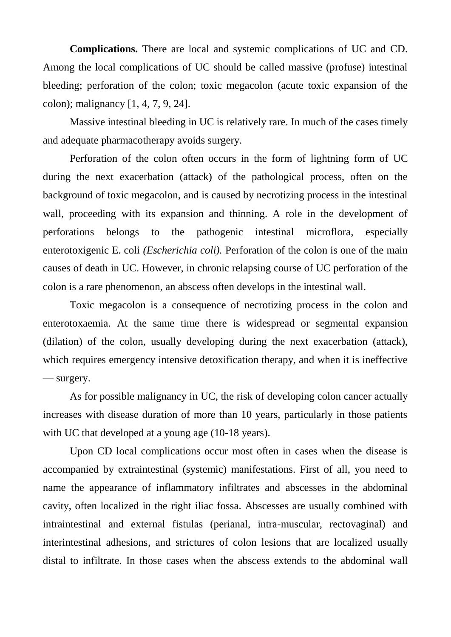**Complications.** There are local and systemic complications of UC and CD. Among the local complications of UC should be called massive (profuse) intestinal bleeding; perforation of the colon; toxic megacolon (acute toxic expansion of the colon); malignancy [1, 4, 7, 9, 24].

Massive intestinal bleeding in UC is relatively rare. In much of the cases timely and adequate pharmacotherapy avoids surgery.

Perforation of the colon often occurs in the form of lightning form of UC during the next exacerbation (attack) of the pathological process, often on the background of toxic megacolon, and is caused by necrotizing process in the intestinal wall, proceeding with its expansion and thinning. A role in the development of perforations belongs to the pathogenic intestinal microflora, especially enterotoxigenic E. coli *(Escherichia coli).* Perforation of the colon is one of the main causes of death in UC. However, in chronic relapsing course of UC perforation of the colon is a rare phenomenon, an abscess often develops in the intestinal wall.

Toxic megacolon is a consequence of necrotizing process in the colon and enterotoxaemia. At the same time there is widespread or segmental expansion (dilation) of the colon, usually developing during the next exacerbation (attack), which requires emergency intensive detoxification therapy, and when it is ineffective — surgery.

As for possible malignancy in UC, the risk of developing colon cancer actually increases with disease duration of more than 10 years, particularly in those patients with UC that developed at a young age (10-18 years).

Upon CD local complications occur most often in cases when the disease is accompanied by extraintestinal (systemic) manifestations. First of all, you need to name the appearance of inflammatory infiltrates and abscesses in the abdominal cavity, often localized in the right iliac fossa. Abscesses are usually combined with intraintestinal and external fistulas (perianal, intra-muscular, rectovaginal) and interintestinal adhesions, and strictures of colon lesions that are localized usually distal to infiltrate. In those cases when the abscess extends to the abdominal wall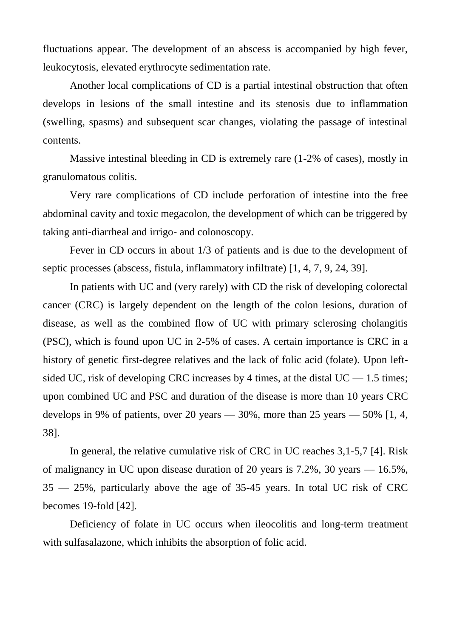fluctuations appear. The development of an abscess is accompanied by high fever, leukocytosis, elevated erythrocyte sedimentation rate.

Another local complications of CD is a partial intestinal obstruction that often develops in lesions of the small intestine and its stenosis due to inflammation (swelling, spasms) and subsequent scar changes, violating the passage of intestinal contents.

Massive intestinal bleeding in CD is extremely rare (1-2% of cases), mostly in granulomatous colitis.

Very rare complications of CD include perforation of intestine into the free abdominal cavity and toxic megacolon, the development of which can be triggered by taking anti-diarrheal and irrigo- and colonoscopy.

Fever in CD occurs in about 1/3 of patients and is due to the development of septic processes (abscess, fistula, inflammatory infiltrate) [1, 4, 7, 9, 24, 39].

In patients with UC and (very rarely) with CD the risk of developing colorectal cancer (CRC) is largely dependent on the length of the colon lesions, duration of disease, as well as the combined flow of UC with primary sclerosing cholangitis (PSC), which is found upon UC in 2-5% of cases. A certain importance is CRC in a history of genetic first-degree relatives and the lack of folic acid (folate). Upon leftsided UC, risk of developing CRC increases by 4 times, at the distal UC  $-$  1.5 times; upon combined UC and PSC and duration of the disease is more than 10 years CRC develops in 9% of patients, over 20 years — 30%, more than 25 years — 50%  $[1, 4, 4]$ 38].

In general, the relative cumulative risk of CRC in UC reaches 3,1-5,7 [4]. Risk of malignancy in UC upon disease duration of 20 years is 7.2%, 30 years — 16.5%, 35 — 25%, particularly above the age of 35-45 years. In total UC risk of CRC becomes 19-fold [42].

Deficiency of folate in UC occurs when ileocolitis and long-term treatment with sulfasalazone, which inhibits the absorption of folic acid.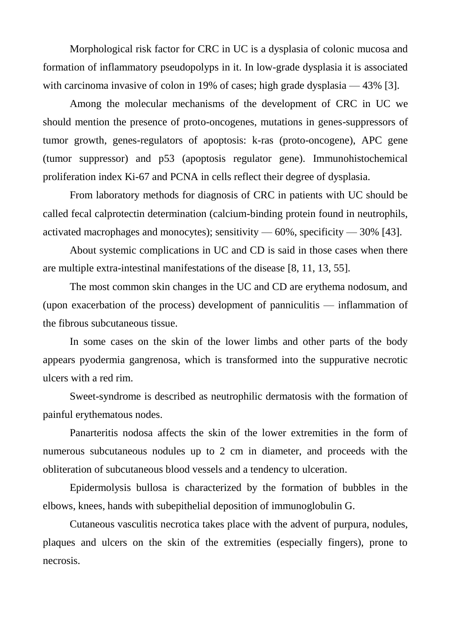Morphological risk factor for CRC in UC is a dysplasia of colonic mucosa and formation of inflammatory pseudopolyps in it. In low-grade dysplasia it is associated with carcinoma invasive of colon in 19% of cases; high grade dysplasia — 43% [3].

Among the molecular mechanisms of the development of CRC in UC we should mention the presence of proto-oncogenes, mutations in genes-suppressors of tumor growth, genes-regulators of apoptosis: k-ras (proto-oncogene), APC gene (tumor suppressor) and p53 (apoptosis regulator gene). Immunohistochemical proliferation index Ki-67 and PCNA in cells reflect their degree of dysplasia.

From laboratory methods for diagnosis of CRC in patients with UC should be called fecal calprotectin determination (calcium-binding protein found in neutrophils, activated macrophages and monocytes); sensitivity  $-60\%$ , specificity  $-30\%$  [43].

About systemic complications in UC and CD is said in those cases when there are multiple extra-intestinal manifestations of the disease [8, 11, 13, 55].

The most common skin changes in the UC and CD are erythema nodosum, and (upon exacerbation of the process) development of panniculitis — inflammation of the fibrous subcutaneous tissue.

In some cases on the skin of the lower limbs and other parts of the body appears pyodermia gangrenosa, which is transformed into the suppurative necrotic ulcers with a red rim.

Sweet-syndrome is described as neutrophilic dermatosis with the formation of painful erythematous nodes.

Panarteritis nodosa affects the skin of the lower extremities in the form of numerous subcutaneous nodules up to 2 cm in diameter, and proceeds with the obliteration of subcutaneous blood vessels and a tendency to ulceration.

Epidermolysis bullosa is characterized by the formation of bubbles in the elbows, knees, hands with subepithelial deposition of immunoglobulin G.

Cutaneous vasculitis necrotica takes place with the advent of purpura, nodules, plaques and ulcers on the skin of the extremities (especially fingers), prone to necrosis.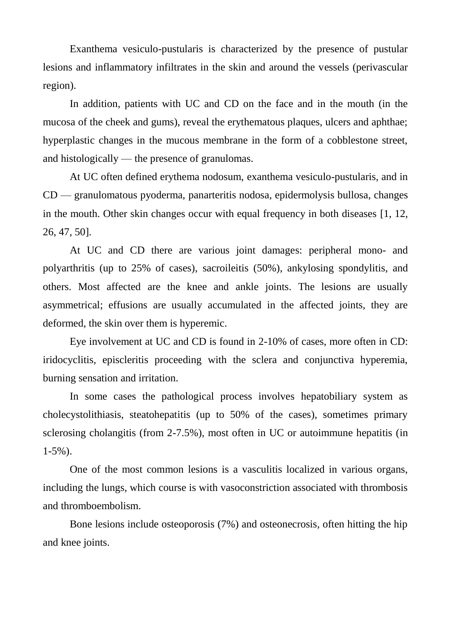Exanthema vesiculo-pustularis is characterized by the presence of pustular lesions and inflammatory infiltrates in the skin and around the vessels (perivascular region).

In addition, patients with UC and CD on the face and in the mouth (in the mucosa of the cheek and gums), reveal the erythematous plaques, ulcers and aphthae; hyperplastic changes in the mucous membrane in the form of a cobblestone street, and histologically — the presence of granulomas.

At UC often defined erythema nodosum, exanthema vesiculo-pustularis, and in CD — granulomatous pyoderma, panarteritis nodosa, epidermolysis bullosa, changes in the mouth. Other skin changes occur with equal frequency in both diseases [1, 12, 26, 47, 50].

At UC and CD there are various joint damages: peripheral mono- and polyarthritis (up to 25% of cases), sacroileitis (50%), ankylosing spondylitis, and others. Most affected are the knee and ankle joints. The lesions are usually asymmetrical; effusions are usually accumulated in the affected joints, they are deformed, the skin over them is hyperemic.

Eye involvement at UC and CD is found in 2-10% of cases, more often in CD: iridocyclitis, episcleritis proceeding with the sclera and conjunctiva hyperemia, burning sensation and irritation.

In some cases the pathological process involves hepatobiliary system as cholecystolithiasis, steatohepatitis (up to 50% of the cases), sometimes primary sclerosing cholangitis (from 2-7.5%), most often in UC or autoimmune hepatitis (in  $1-5\%$ ).

One of the most common lesions is a vasculitis localized in various organs, including the lungs, which course is with vasoconstriction associated with thrombosis and thromboembolism.

Bone lesions include osteoporosis (7%) and osteonecrosis, often hitting the hip and knee joints.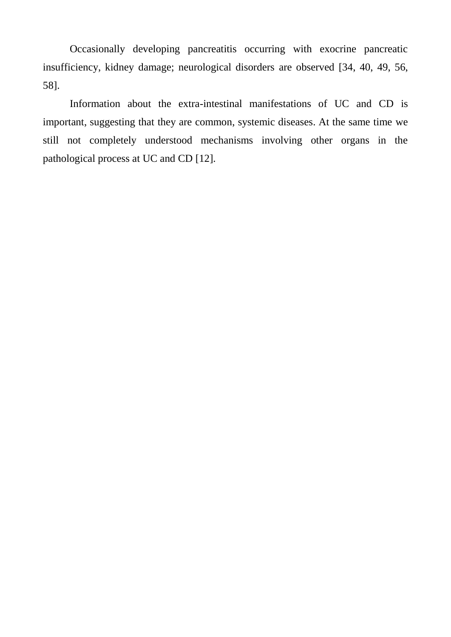Occasionally developing pancreatitis occurring with exocrine pancreatic insufficiency, kidney damage; neurological disorders are observed [34, 40, 49, 56, 58].

Information about the extra-intestinal manifestations of UC and CD is important, suggesting that they are common, systemic diseases. At the same time we still not completely understood mechanisms involving other organs in the pathological process at UC and CD [12].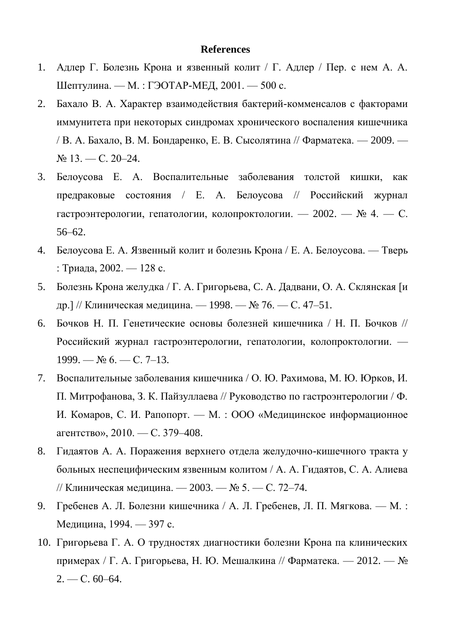## **References**

- 1. Адлер Г. Болезнь Крона и язвенный колит / Г. Адлер / Пер. с нем А. А. Шептулина. — М. : ГЭОТАР-МЕД, 2001. — 500 с.
- 2. Бахало В. А. Характер взаимодействия бактерий-комменсалов с факторами иммунитета при некоторых синдромах хронического воспаления кишечника / В. А. Бахало, В. М. Бондаренко, Е. В. Сысолятина // Фарматека. — 2009. —  $N_2$  13. — C. 20–24.
- 3. Белоусова Е. А. Воспалительные заболевания толстой кишки, как предраковые состояния / Е. А. Белоусова // Российский журнал гастроэнтерологии, гепатологии, колопроктологии. — 2002. —  $N_2$  4. — С. 56–62.
- 4. Белоусова Е. А. Язвенный колит и болезнь Крона / Е. А. Белоусова. Тверь : Триада, 2002. — 128 с.
- 5. Болезнь Крона желудка / Г. А. Григорьева, C. A. Дадвани, О. А. Склянская [и др.] // Клиническая медицина. — 1998. — № 76. — С. 47-51.
- 6. Бочков H. П. Генетические основы болезней кишечника / Н. П. Бочков // Российский журнал гастроэнтерологии, гепатологии, колопроктологии. —  $1999. - N_2 6. - C. 7-13.$
- 7. Воспалительные заболевания кишечника / О. Ю. Рахимова, М. Ю. Юрков, И. П. Митрофанова, З. К. Пайзуллаева // Руководство по гастроэнтерологии / Ф. И. Комаров, С. И. Рапопорт. — М. : ООО «Медицинское информационное агентство», 2010. — С. 379–408.
- 8. Гидаятов А. А. Поражения верхнего отдела желудочно-кишечного тракта у больных неспецифическим язвенным колитом / А. А. Гидаятов, С. А. Алиева // Клиническая медицина. — 2003. — № 5. — С. 72–74.
- 9. Гребенев А. Л. Болезни кишечника / А. Л. Гребенев, Л. П. Мягкова. М. : Медицина, 1994. — 397 с.
- 10. Григорьева Г. А. О трудностях диагностики болезни Крона па клинических примерах / Г. А. Григорьева, Н. Ю. Мешалкина // Фарматека. — 2012. — №  $2. - C. 60 - 64.$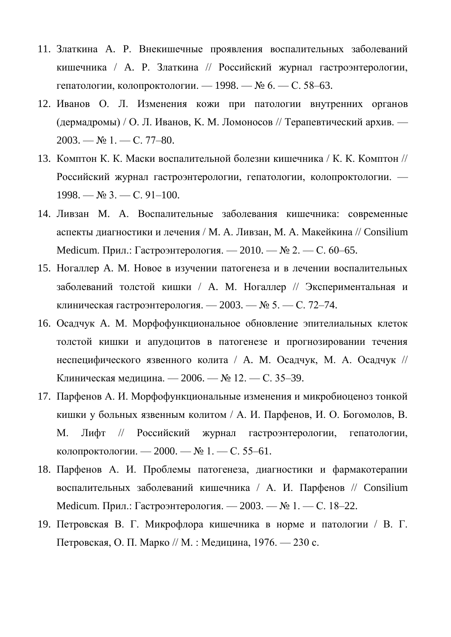- 11. Златкина A. P. Внекишечные проявления воспалительных заболеваний кишечника / A. P. Златкина // Российский журнал гастроэнтерологии, гепатологии, колопроктологии. — 1998. — № 6. — С. 58–63.
- 12. Иванов О. Л. Изменения кожи при патологии внутренних органов (дермадромы) / О. Л. Иванов, K. M. Ломоносов // Терапевтический архив. — 2003. — № 1. — С. 77–80.
- 13. Комптон К. К. Маски воспалительной болезни кишечника / К. К. Комптон // Российский журнал гастроэнтерологии, гепатологии, колопроктологии. —  $1998. \mathcal{N}$   $3. \mathcal{C}$ .  $91-100.$
- 14. Ливзан M. A. Воспалительные заболевания кишечника: современные аспекты диагностики и лечения / M. A. Ливзан, M. A. Макейкина // Consilium Medicum. Прил.: Гастроэнтерология. — 2010. — № 2. — С. 60–65.
- 15. Ногаллер A. M. Новое в изучении патогенеза и в лечении воспалительных заболеваний толстой кишки / A. M. Ногаллер // Экспериментальная и клиническая гастроэнтерология. — 2003. — № 5. — С. 72–74.
- 16. Осадчук A. M. Морфофункциональное обновление эпителиальных клеток толстой кишки и апудоцитов в патогенезе и прогнозировании течения неспецифического язвенного колита / A. M. Осадчук, М. А. Осадчук // Клиническая медицина. — 2006. — № 12. — С. 35–39.
- 17. Парфенов А. И. Морфофункциональные изменения и микробиоценоз тонкой кишки у больных язвенным колитом / А. И. Парфенов, И. О. Богомолов, В. М. Лифт // Российский журнал гастроэнтерологии, гепатологии, колопроктологии. — 2000. — № 1. — С. 55–61.
- 18. Парфенов А. И. Проблемы патогенеза, диагностики и фармакотерапии воспалительных заболеваний кишечника / А. И. Парфенов // Consilium Medicum. Прил.: Гастроэнтерология. — 2003. — № 1. — С. 18–22.
- 19. Петровская В. Г. Микрофлора кишечника в норме и патологии / В. Г. Петровская, О. П. Марко // М. : Медицина, 1976. — 230 с.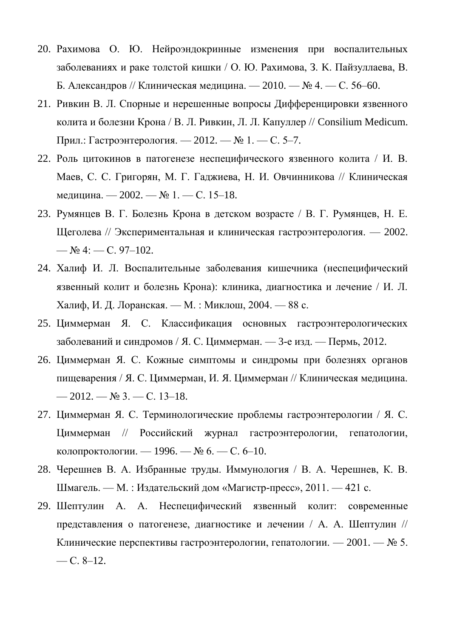- 20. Рахимова О. Ю. Нейроэндокринные изменения при воспалительных заболеваниях и раке толстой кишки / О. Ю. Рахимова, З. K. Пайзуллаева, В. Б. Александров // Клиническая медицина. — 2010. — № 4. — С. 56–60.
- 21. Ривкин В. Л. Спорные и нерешенные вопросы Дифференцировки язвенного колита и болезни Крона / В. Л. Ривкин, Л. Л. Капуллер // Consilium Medicum. Прил.: Гастроэнтерология. — 2012. — № 1. — С. 5–7.
- 22. Роль цитокинов в патогенезе неспецифического язвенного колита / И. В. Маев, С. С. Григорян, М. Г. Гаджиева, Н. И. Овчинникова // Клиническая медицина. — 2002. — № 1. — С. 15–18.
- 23. Румянцев В. Г. Болезнь Крона в детском возрасте / В. Г. Румянцев, Н. Е. Щеголева // Экспериментальная и клиническая гастроэнтерология. — 2002. —  $\mathbb{N}$  4: — C. 97–102.
- 24. Халиф И. Л. Воспалительные заболевания кишечника (неспецифический язвенный колит и болезнь Крона): клиника, диагностика и лечение / И. Л. Халиф, И. Д. Лоранская. — М. : Миклош, 2004. — 88 с.
- 25. Циммерман Я. С. Классификация основных гастроэнтерологических заболеваний и синдромов / Я. С. Циммерман. — 3-е изд. — Пермь, 2012.
- 26. Циммерман Я. С. Кожные симптомы и синдромы при болезнях органов пищеварения / Я. С. Циммерман, И. Я. Циммерман // Клиническая медицина. —  $2012. - N_2$  3. — C. 13-18.
- 27. Циммерман Я. С. Терминологические проблемы гастроэнтерологии / Я. С. Циммерман // Российский журнал гастроэнтерологии, гепатологии, колопроктологии. — 1996. — № 6. — С. 6–10.
- 28. Черешнев В. А. Избранные труды. Иммунология / В. А. Черешнев, К. В. Шмагель. — М. : Издательский дом «Магистр-пресс», 2011. — 421 с.
- 29. Шептулин А. А. Неспецифический язвенный колит: современные представления о патогенезе, диагностике и лечении / А. А. Шептулин // Клинические перспективы гастроэнтерологии, гепатологии. — 2001. — № 5.  $-$  C. 8–12.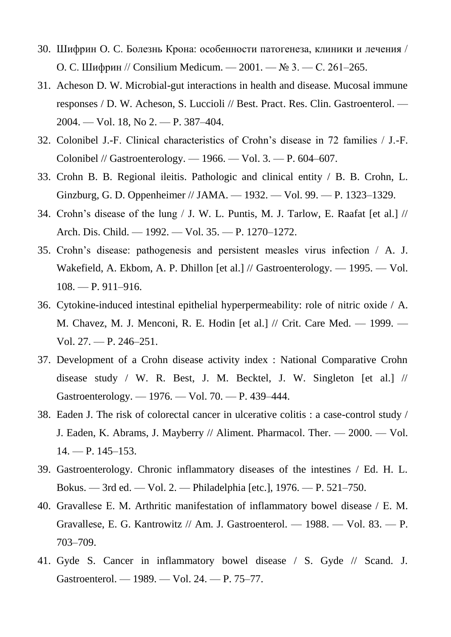- 30. Шифрин O. C. Болезнь Крона: особенности патогенеза, клиники и лечения / O. C. Шифрин // Consilium Medicum. — 2001. — № 3. — С. 261–265.
- 31. Acheson D. W. Microbial-gut interactions in health and disease. Mucosal immune responses / D. W. Acheson, S. Luccioli // Best. Pract. Res. Clin. Gastroenterol. — 2004. — Vol. 18, No 2. — P. 387–404.
- 32. Colonibel J.-F. Clinical characteristics of Crohn's disease in 72 families / J.-F. Colonibel // Gastroenterology. — 1966. — Vol. 3. — P. 604–607.
- 33. Crohn B. B. Regional ileitis. Pathologic and clinical entity / B. B. Crohn, L. Ginzburg, G. D. Oppenheimer // JAMA. — 1932. — Vol. 99. — P. 1323–1329.
- 34. Crohn's disease of the lung / J. W. L. Puntis, M. J. Tarlow, E. Raafat [et al.] // Arch. Dis. Child. — 1992. — Vol. 35. — P. 1270–1272.
- 35. Crohn's disease: pathogenesis and persistent measles virus infection / A. J. Wakefield, A. Ekbom, A. P. Dhillon [et al.] // Gastroenterology. — 1995. — Vol. 108. — P. 911–916.
- 36. Cytokine-induced intestinal epithelial hyperpermeability: role of nitric oxide / A. M. Chavez, M. J. Menconi, R. E. Hodin [et al.] // Crit. Care Med. — 1999. — Vol. 27. — P. 246–251.
- 37. Development of a Crohn disease activity index : National Comparative Crohn disease study / W. R. Best, J. M. Becktel, J. W. Singleton [et al.] // Gastroenterology. — 1976. — Vol. 70. — P. 439–444.
- 38. Eaden J. The risk of colorectal cancer in ulcerative colitis : a case-control study / J. Eaden, K. Abrams, J. Mayberry // Aliment. Pharmacol. Ther. — 2000. — Vol.  $14. - P. 145 - 153.$
- 39. Gastroenterology. Chronic inflammatory diseases of the intestines / Ed. H. L. Bokus. — 3rd ed. — Vol. 2. — Philadelphia [etc.], 1976. — P. 521–750.
- 40. Gravallеsе Е. М. Arthritic manifestation of inflammatory bowel disease / Е. М. Gravallеsе, E. G. Kantrowitz // Am. J. Gastroenterol. — 1988. — Vol. 83. — P. 703–709.
- 41. Gyde S. Cancer in inflammatory bowel disease / S. Gyde // Scand. J. Gastroenterol. — 1989. — Vol. 24. — P. 75–77.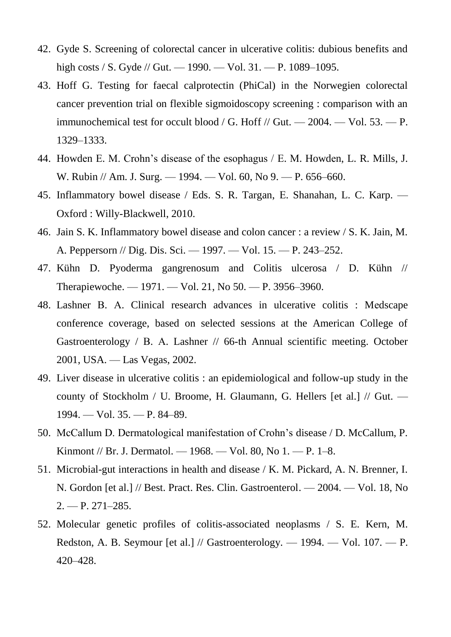- 42. Gyde S. Screening of colorectal cancer in ulcerative colitis: dubious benefits and high costs / S. Gyde // Gut. — 1990. — Vol. 31. — P. 1089–1095.
- 43. Hoff G. Testing for faecal calprotectin (PhiCal) in the Norwegien colorectal cancer prevention trial on flexible sigmoidoscopy screening : comparison with an immunochemical test for occult blood / G. Hoff // Gut.  $-2004$ .  $-$  Vol. 53.  $-$  P. 1329–1333.
- 44. Howdеn Е. М. Crohn's disease of the esophagus / Е. М. Howdеn, L. R. Mills, J. W. Rubin // Am. J. Surg. — 1994. — Vol. 60, No 9. — P. 656–660.
- 45. Inflammatory bowel disease / Eds. S. R. Targan, Е. Shanahan, L. C. Karp. Oxford : Willy-Blackwell, 2010.
- 46. Jain S. K. Inflammatory bowel disease and colon cancer : a review / S. K. Jain, M. A. Peppersorn // Dig. Dis. Sci. — 1997. — Vol. 15. — P. 243–252.
- 47. Kühn D. Pyoderma gangrenosum and Colitis ulcerosa / D. Kühn // Therapiewoche. — 1971. — Vol. 21, No 50. — P. 3956–3960.
- 48. Lashner В. А. Clinical research advances in ulcerative colitis : Mеdscape conference coverage, based on selected sessions at the American College of Gastroenterology / B. A. Lashner // 66-th Annual scientific meeting. October 2001, USA. — Las Vegas, 2002.
- 49. Liver disease in ulcerative colitis : an epidemiological and follow-up study in the county of Stockholm / U. Broome, H. Glaumann, G. Hellers [et al.] // Gut. — 1994. — Vol. 35. — P. 84–89.
- 50. McCallum D. Dermatological manifestation of Crohn's disease / D. McCallum, P. Kinmont // Br. J. Dermatol. — 1968. — Vol. 80, No 1. — P. 1–8.
- 51. Microbial-gut interactions in health and disease / K. M. Pickard, A. N. Brenner, I. N. Gordon [et al.] // Best. Pract. Res. Clin. Gastroenterol. — 2004. — Vol. 18, No  $2. - P. 271 - 285.$
- 52. Molecular genetic profiles of colitis-associated neoplasms / S. E. Kern, M. Redston, A. B. Seymour [et al.] // Gastroenterology. — 1994. — Vol. 107. — P. 420–428.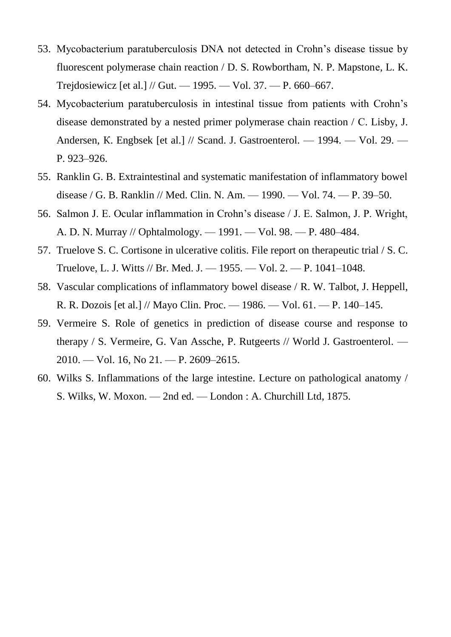- 53. Mycobacterium paratuberculosis DNA not detected in Crohn's disease tissue by fluorescent polymerase chain reaction / D. S. Rowbortham, N. P. Mapstonе, L. K. Trejdosiewicz [et al.] // Gut. — 1995. — Vol. 37. — P. 660–667.
- 54. Mycobacterium paratuberculosis in intestinal tissue from patients with Crohn's disease demonstrated by a nested primer polymerase chain reaction / С. Lisby, J. Andersen, K. Engbsek [et al.] // Scand. J. Gastroenterol. — 1994. — Vol. 29. — P. 923–926.
- 55. Ranklin G. B. Extraintestinal and systematic manifestation of inflammatory bowel disease / G. B. Ranklin // Med. Clin. N. Am. — 1990. — Vol. 74. — P. 39–50.
- 56. Salmon J. E. Ocular inflammation in Crohn's disease / J. E. Salmon, J. P. Wright, A. D. N. Murray // Ophtalmology. — 1991. — Vol. 98. — P. 480–484.
- 57. Truelove S. C. Cortisone in ulcerative colitis. File report on therapeutic trial / S. C. Truelove, L. J. Witts // Br. Med. J. — 1955. — Vol. 2. — P. 1041–1048.
- 58. Vascular complications of inflammatory bowel disease / R. W. Talbot, J. Heppell, R. R. Dozois [et al.] // Mayo Clin. Proc. — 1986. — Vol. 61. — P. 140–145.
- 59. Vermeire S. Role of genetics in prediction of disease course and response to therapy / S. Vermeire, G. Van Assche, P. Rutgeerts // World J. Gastroenterol. — 2010. — Vol. 16, No 21. — P. 2609–2615.
- 60. Wilks S. Inflammations of thе large intestine. Lecture on pathological anatomy / S. Wilks, W. Мoxon. — 2nd ed. — London : A. Churchill Ltd, 1875.